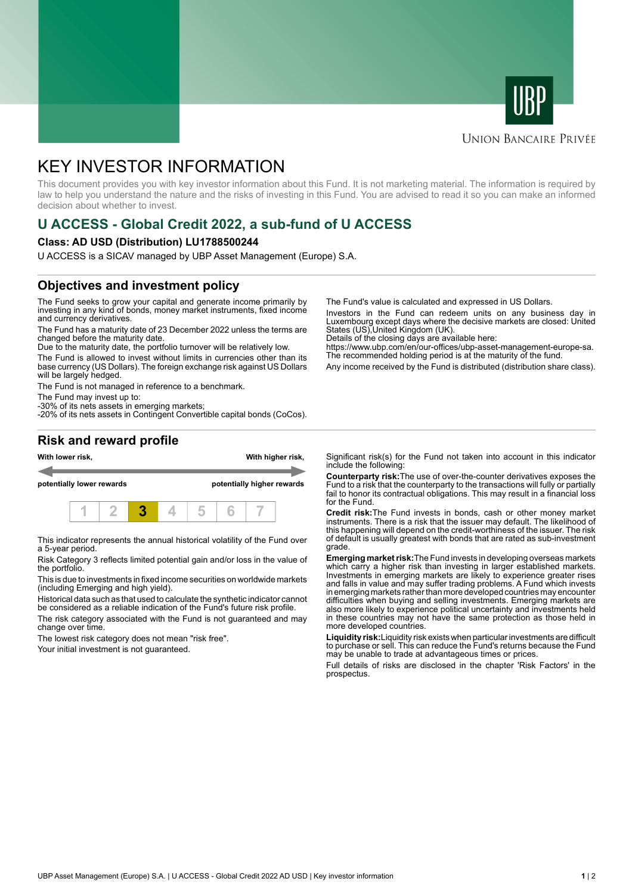



#### **UNION BANCAIRE PRIVÉE**

# KEY INVESTOR INFORMATION

This document provides you with key investor information about this Fund. It is not marketing material. The information is required by law to help you understand the nature and the risks of investing in this Fund. You are advised to read it so you can make an informed decision about whether to invest.

## **U ACCESS - Global Credit 2022, a sub-fund of U ACCESS**

#### **Class: AD USD (Distribution) LU1788500244**

U ACCESS is a SICAV managed by UBP Asset Management (Europe) S.A.

### **Objectives and investment policy**

The Fund seeks to grow your capital and generate income primarily by investing in any kind of bonds, money market instruments, fixed income and currency derivatives.

The Fund has a maturity date of 23 December 2022 unless the terms are changed before the maturity date.

Due to the maturity date, the portfolio turnover will be relatively low.

The Fund is allowed to invest without limits in currencies other than its base currency (US Dollars). The foreign exchange risk against US Dollars will be largely hedged.

The Fund is not managed in reference to a benchmark.

The Fund may invest up to:

-30% of its nets assets in emerging markets; -20% of its nets assets in Contingent Convertible capital bonds (CoCos). The Fund's value is calculated and expressed in US Dollars.

Investors in the Fund can redeem units on any business day in Luxembourg except days where the decisive markets are closed: United States (US),United Kingdom (UK).

Details of the closing days are available here:

https://www.ubp.com/en/our-offices/ubp-asset-management-europe-sa. The recommended holding period is at the maturity of the fund.

Any income received by the Fund is distributed (distribution share class).

#### **Risk and reward profile**



This indicator represents the annual historical volatility of the Fund over a 5-year period.

Risk Category 3 reflects limited potential gain and/or loss in the value of the portfolio.

This is due to investments in fixed income securities on worldwide markets (including Emerging and high yield).

Historical data such as that used to calculate the synthetic indicator cannot be considered as a reliable indication of the Fund's future risk profile.

The risk category associated with the Fund is not guaranteed and may change over time.

The lowest risk category does not mean "risk free".

Your initial investment is not guaranteed.

Significant risk(s) for the Fund not taken into account in this indicator include the following:

**Counterparty risk:**The use of over-the-counter derivatives exposes the Fund to a risk that the counterparty to the transactions will fully or partially fail to honor its contractual obligations. This may result in a financial loss for the Fund.

**Credit risk:**The Fund invests in bonds, cash or other money market instruments. There is a risk that the issuer may default. The likelihood of this happening will depend on the credit-worthiness of the issuer. The risk of default is usually greatest with bonds that are rated as sub-investment grade.

**Emerging market risk:**The Fund invests in developing overseas markets which carry a higher risk than investing in larger established markets. Investments in emerging markets are likely to experience greater rises and falls in value and may suffer trading problems. A Fund which invests in emerging markets rather than more developed countries may encounter difficulties when buying and selling investments. Emerging markets are also more likely to experience political uncertainty and investments held in these countries may not have the same protection as those held in more developed countries.

**Liquidity risk:**Liquidity risk exists when particular investments are difficult to purchase or sell. This can reduce the Fund's returns because the Fund may be unable to trade at advantageous times or prices

Full details of risks are disclosed in the chapter 'Risk Factors' in the prospectus.